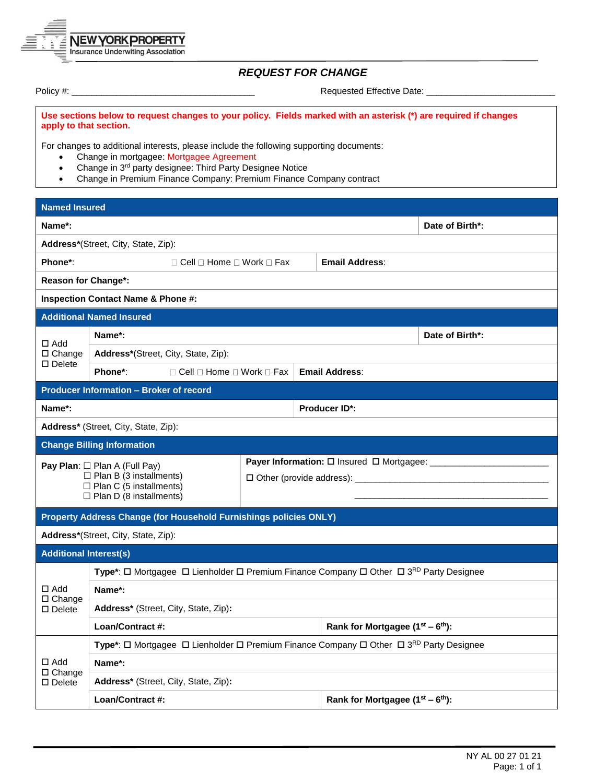

## *REQUEST FOR CHANGE*

Policy #: \_\_\_\_\_\_\_\_\_\_\_\_\_\_\_\_\_\_\_\_\_\_\_\_\_\_\_\_\_\_\_\_\_\_\_\_\_ Requested Effective Date: \_\_\_\_\_\_\_\_\_\_\_\_\_\_\_\_\_\_\_\_\_\_\_\_\_\_

**Use sections below to request changes to your policy. Fields marked with an asterisk (\*) are required if changes apply to that section.**

For changes to additional interests, please include the following supporting documents:

- Change in mortgagee: Mortgagee Agreement
- Change in 3<sup>rd</sup> party designee: Third Party Designee Notice
- Change in Premium Finance Company: Premium Finance Company contract

| <b>Named Insured</b>                                                                                                                     |                                                                                        |  |  |                                          |                                                                  |                 |  |  |  |  |  |
|------------------------------------------------------------------------------------------------------------------------------------------|----------------------------------------------------------------------------------------|--|--|------------------------------------------|------------------------------------------------------------------|-----------------|--|--|--|--|--|
| Name*:                                                                                                                                   |                                                                                        |  |  |                                          |                                                                  | Date of Birth*: |  |  |  |  |  |
|                                                                                                                                          | Address*(Street, City, State, Zip):                                                    |  |  |                                          |                                                                  |                 |  |  |  |  |  |
| Phone*:<br>$\Box$ Cell $\Box$ Home $\Box$ Work $\Box$ Fax                                                                                |                                                                                        |  |  |                                          | <b>Email Address:</b>                                            |                 |  |  |  |  |  |
| <b>Reason for Change*:</b>                                                                                                               |                                                                                        |  |  |                                          |                                                                  |                 |  |  |  |  |  |
|                                                                                                                                          | <b>Inspection Contact Name &amp; Phone #:</b>                                          |  |  |                                          |                                                                  |                 |  |  |  |  |  |
| <b>Additional Named Insured</b>                                                                                                          |                                                                                        |  |  |                                          |                                                                  |                 |  |  |  |  |  |
| $\Box$ Add<br>$\Box$ Change<br>$\square$ Delete                                                                                          | Name*:                                                                                 |  |  |                                          |                                                                  | Date of Birth*: |  |  |  |  |  |
|                                                                                                                                          | <b>Address*</b> (Street, City, State, Zip):                                            |  |  |                                          |                                                                  |                 |  |  |  |  |  |
|                                                                                                                                          | Phone*:<br>□ Cell □ Home □ Work □ Fax                                                  |  |  | <b>Email Address:</b>                    |                                                                  |                 |  |  |  |  |  |
| <b>Producer Information - Broker of record</b>                                                                                           |                                                                                        |  |  |                                          |                                                                  |                 |  |  |  |  |  |
| Name*:<br><b>Producer ID*:</b>                                                                                                           |                                                                                        |  |  |                                          |                                                                  |                 |  |  |  |  |  |
| Address* (Street, City, State, Zip):                                                                                                     |                                                                                        |  |  |                                          |                                                                  |                 |  |  |  |  |  |
|                                                                                                                                          | <b>Change Billing Information</b>                                                      |  |  |                                          |                                                                  |                 |  |  |  |  |  |
| Pay Plan: $\Box$ Plan A (Full Pay)<br>$\Box$ Plan B (3 installments)<br>$\Box$ Plan C (5 installments)<br>$\Box$ Plan D (8 installments) |                                                                                        |  |  |                                          | <b>Payer Information:</b> $\square$ Insured $\square$ Mortgagee: |                 |  |  |  |  |  |
|                                                                                                                                          | Property Address Change (for Household Furnishings policies ONLY)                      |  |  |                                          |                                                                  |                 |  |  |  |  |  |
|                                                                                                                                          | Address*(Street, City, State, Zip):                                                    |  |  |                                          |                                                                  |                 |  |  |  |  |  |
| <b>Additional Interest(s)</b>                                                                                                            |                                                                                        |  |  |                                          |                                                                  |                 |  |  |  |  |  |
|                                                                                                                                          | Type*: □ Mortgagee □ Lienholder □ Premium Finance Company □ Other □ 3RD Party Designee |  |  |                                          |                                                                  |                 |  |  |  |  |  |
| $\Box$ Add<br>$\Box$ Change<br>$\square$ Delete                                                                                          | Name*:                                                                                 |  |  |                                          |                                                                  |                 |  |  |  |  |  |
|                                                                                                                                          | Address* (Street, City, State, Zip):                                                   |  |  |                                          |                                                                  |                 |  |  |  |  |  |
|                                                                                                                                          | Loan/Contract #:                                                                       |  |  |                                          | Rank for Mortgagee $(1^{st} – 6^{th})$ :                         |                 |  |  |  |  |  |
| $\Box$ Add<br>□ Change<br>$\square$ Delete                                                                                               | Type*: □ Mortgagee □ Lienholder □ Premium Finance Company □ Other □ 3RD Party Designee |  |  |                                          |                                                                  |                 |  |  |  |  |  |
|                                                                                                                                          | Name*:                                                                                 |  |  |                                          |                                                                  |                 |  |  |  |  |  |
|                                                                                                                                          | Address* (Street, City, State, Zip):                                                   |  |  |                                          |                                                                  |                 |  |  |  |  |  |
|                                                                                                                                          | Loan/Contract #:                                                                       |  |  | Rank for Mortgagee $(1^{st} – 6^{th})$ : |                                                                  |                 |  |  |  |  |  |